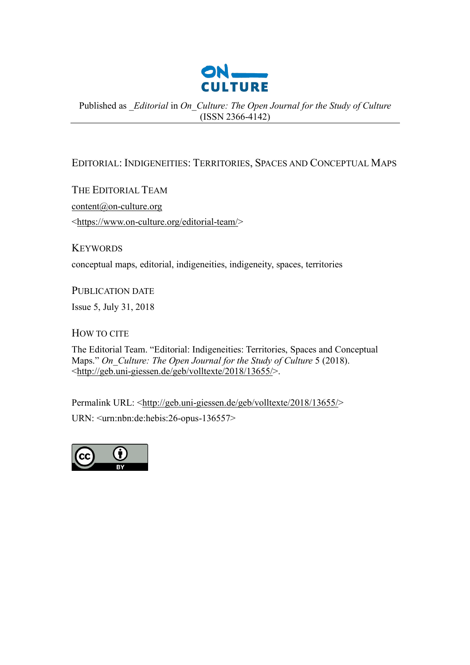

Published as *\_Editorial* in *On\_Culture: The Open Journal for the Study of Culture* (ISSN 2366-4142)

## EDITORIAL: INDIGENEITIES: TERRITORIES, SPACES AND CONCEPTUAL MAPS

THE EDITORIAL TEAM content@on-culture.org <https://www.on-culture.org/editorial-team/>

**KEYWORDS** 

conceptual maps, editorial, indigeneities, indigeneity, spaces, territories

PUBLICATION DATE

Issue 5, July 31, 2018

HOW TO CITE

The Editorial Team. "Editorial: Indigeneities: Territories, Spaces and Conceptual Maps." *On\_Culture: The Open Journal for the Study of Culture* 5 (2018). <http://geb.uni-giessen.de/geb/volltexte/2018/13655/>.

Permalink URL: <http://geb.uni-giessen.de/geb/volltexte/2018/13655/> URN: <urn:nbn:de:hebis:26-opus-136557>

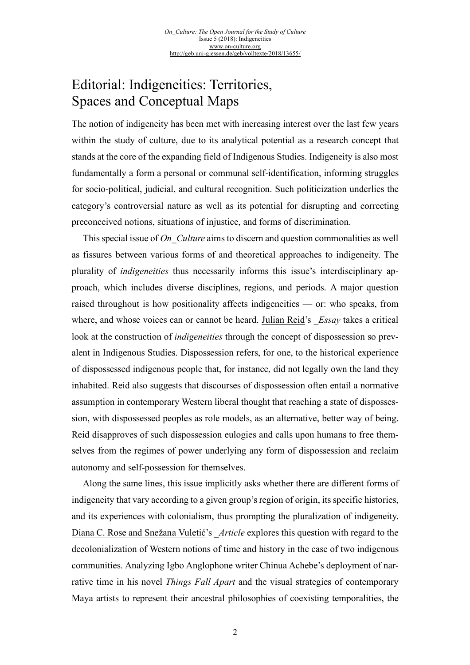## Editorial: Indigeneities: Territories, Spaces and Conceptual Maps

The notion of indigeneity has been met with increasing interest over the last few years within the study of culture, due to its analytical potential as a research concept that stands at the core of the expanding field of Indigenous Studies. Indigeneity is also most fundamentally a form a personal or communal self-identification, informing struggles for socio-political, judicial, and cultural recognition. Such politicization underlies the category's controversial nature as well as its potential for disrupting and correcting preconceived notions, situations of injustice, and forms of discrimination.

This special issue of *On Culture* aims to discern and question commonalities as well as fissures between various forms of and theoretical approaches to indigeneity. The plurality of *indigeneities* thus necessarily informs this issue's interdisciplinary approach, which includes diverse disciplines, regions, and periods. A major question raised throughout is how positionality affects indigeneities — or: who speaks, from where, and whose voices can or cannot be heard. [Julian Reid'](http://geb.uni-giessen.de/geb/volltexte/2018/13660/)s \_*Essay* takes a critical look at the construction of *indigeneities* through the concept of dispossession so prevalent in Indigenous Studies. Dispossession refers, for one, to the historical experience of dispossessed indigenous people that, for instance, did not legally own the land they inhabited. Reid also suggests that discourses of dispossession often entail a normative assumption in contemporary Western liberal thought that reaching a state of dispossession, with dispossessed peoples as role models, as an alternative, better way of being. Reid disapproves of such dispossession eulogies and calls upon humans to free themselves from the regimes of power underlying any form of dispossession and reclaim autonomy and self-possession for themselves.

Along the same lines, this issue implicitly asks whether there are different forms of indigeneity that vary according to a given group's region of origin, its specific histories, and its experiences with colonialism, thus prompting the pluralization of indigeneity. [Diana C. Rose and Sne](http://geb.uni-giessen.de/geb/volltexte/2018/13659/)žana Vuletić's \_*Article* explores this question with regard to the decolonialization of Western notions of time and history in the case of two indigenous communities. Analyzing Igbo Anglophone writer Chinua Achebe's deployment of narrative time in his novel *Things Fall Apart* and the visual strategies of contemporary Maya artists to represent their ancestral philosophies of coexisting temporalities, the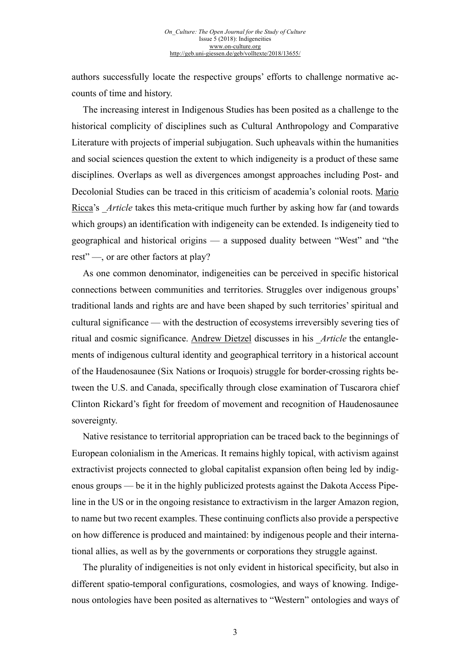authors successfully locate the respective groups' efforts to challenge normative accounts of time and history.

The increasing interest in Indigenous Studies has been posited as a challenge to the historical complicity of disciplines such as Cultural Anthropology and Comparative Literature with projects of imperial subjugation. Such upheavals within the humanities and social sciences question the extent to which indigeneity is a product of these same disciplines. Overlaps as well as divergences amongst approaches including Post- and Decolonial Studies can be traced in this criticism of academia's colonial roots. [Mario](http://geb.uni-giessen.de/geb/volltexte/2018/13658/) [Ricca'](http://geb.uni-giessen.de/geb/volltexte/2018/13658/)s *Article* takes this meta-critique much further by asking how far (and towards which groups) an identification with indigeneity can be extended. Is indigeneity tied to geographical and historical origins — a supposed duality between "West" and "the rest" —, or are other factors at play?

As one common denominator, indigeneities can be perceived in specific historical connections between communities and territories. Struggles over indigenous groups' traditional lands and rights are and have been shaped by such territories' spiritual and cultural significance — with the destruction of ecosystems irreversibly severing ties of ritual and cosmic significance. [Andrew Dietzel](http://geb.uni-giessen.de/geb/volltexte/2018/13656/) discusses in his \_*Article* the entanglements of indigenous cultural identity and geographical territory in a historical account of the Haudenosaunee (Six Nations or Iroquois) struggle for border-crossing rights between the U.S. and Canada, specifically through close examination of Tuscarora chief Clinton Rickard's fight for freedom of movement and recognition of Haudenosaunee sovereignty.

Native resistance to territorial appropriation can be traced back to the beginnings of European colonialism in the Americas. It remains highly topical, with activism against extractivist projects connected to global capitalist expansion often being led by indigenous groups — be it in the highly publicized protests against the Dakota Access Pipeline in the US or in the ongoing resistance to extractivism in the larger Amazon region, to name but two recent examples. These continuing conflicts also provide a perspective on how difference is produced and maintained: by indigenous people and their international allies, as well as by the governments or corporations they struggle against.

The plurality of indigeneities is not only evident in historical specificity, but also in different spatio-temporal configurations, cosmologies, and ways of knowing. Indigenous ontologies have been posited as alternatives to "Western" ontologies and ways of